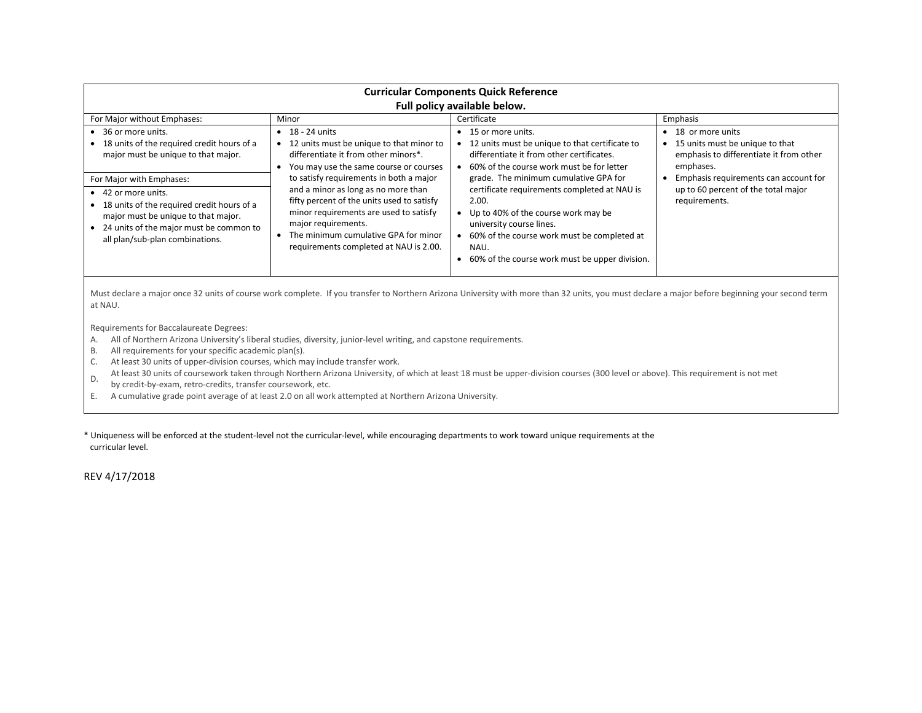| <b>Curricular Components Quick Reference</b><br>Full policy available below.                                                                                                                                           |                                                                                                                                                                                                                                                                                 |                                                                                                                                                                                                                                                                            |                                                                                                                 |  |  |  |
|------------------------------------------------------------------------------------------------------------------------------------------------------------------------------------------------------------------------|---------------------------------------------------------------------------------------------------------------------------------------------------------------------------------------------------------------------------------------------------------------------------------|----------------------------------------------------------------------------------------------------------------------------------------------------------------------------------------------------------------------------------------------------------------------------|-----------------------------------------------------------------------------------------------------------------|--|--|--|
| For Major without Emphases:                                                                                                                                                                                            | Minor                                                                                                                                                                                                                                                                           | Certificate                                                                                                                                                                                                                                                                | Emphasis                                                                                                        |  |  |  |
| $\bullet$ 36 or more units.<br>• 18 units of the required credit hours of a<br>major must be unique to that major.                                                                                                     | 18 - 24 units<br>$\bullet$<br>12 units must be unique to that minor to<br>differentiate it from other minors*.<br>You may use the same course or courses                                                                                                                        | 15 or more units.<br>12 units must be unique to that certificate to<br>differentiate it from other certificates.<br>60% of the course work must be for letter                                                                                                              | • 18 or more units<br>• 15 units must be unique to that<br>emphasis to differentiate it from other<br>emphases. |  |  |  |
| For Major with Emphases:<br>• 42 or more units.<br>• 18 units of the required credit hours of a<br>major must be unique to that major.<br>• 24 units of the major must be common to<br>all plan/sub-plan combinations. | to satisfy requirements in both a major<br>and a minor as long as no more than<br>fifty percent of the units used to satisfy<br>minor requirements are used to satisfy<br>major requirements.<br>The minimum cumulative GPA for minor<br>requirements completed at NAU is 2.00. | grade. The minimum cumulative GPA for<br>certificate requirements completed at NAU is<br>2.00.<br>Up to 40% of the course work may be<br>university course lines.<br>60% of the course work must be completed at<br>NAU.<br>60% of the course work must be upper division. | Emphasis requirements can account for<br>up to 60 percent of the total major<br>requirements.                   |  |  |  |

Must declare a major once 32 units of course work complete. If you transfer to Northern Arizona University with more than 32 units, you must declare a major before beginning your second term at NAU.

Requirements for Baccalaureate Degrees:

- A. All of Northern Arizona University's liberal studies, diversity, junior-level writing, and capstone requirements.
- B. All requirements for your specific academic plan(s).
- C. At least 30 units of upper-division courses, which may include transfer work.
- D. At least 30 units of coursework taken through Northern Arizona University, of which at least 18 must be upper-division courses (300 level or above). This requirement is not met
- by credit-by-exam, retro-credits, transfer coursework, etc.
- E. A cumulative grade point average of at least 2.0 on all work attempted at Northern Arizona University.

\* Uniqueness will be enforced at the student-level not the curricular-level, while encouraging departments to work toward unique requirements at the curricular level.

REV 4/17/2018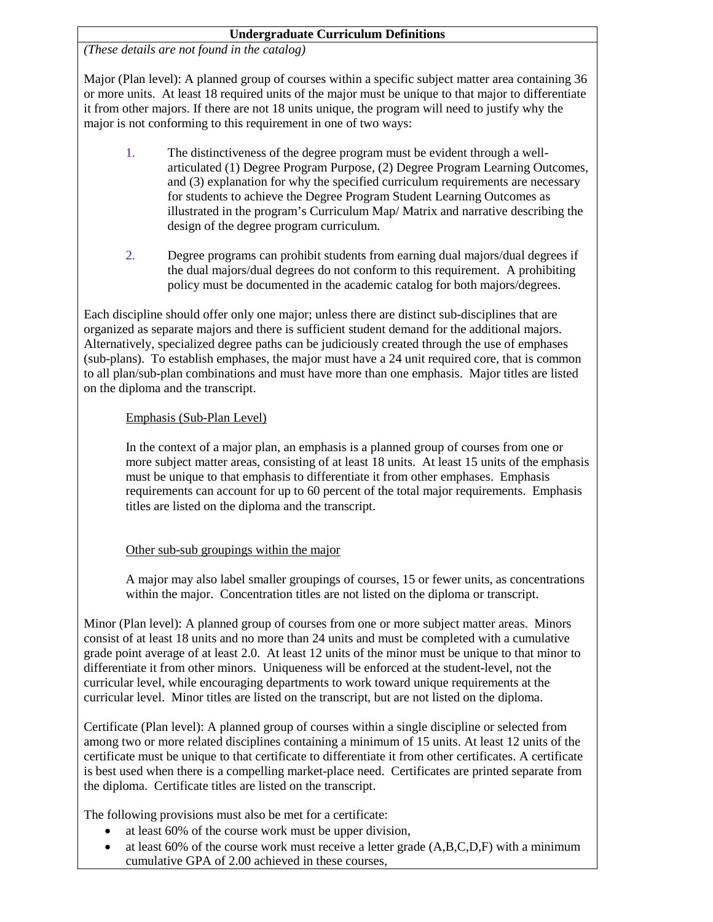## **Undergraduate Curriculum Definitions**

*(These details are not found in the catalog)*

Major (Plan level): A planned group of courses within a specific subject matter area containing 36 or more units. At least 18 required units of the major must be unique to that major to differentiate it from other majors. If there are not 18 units unique, the program will need to justify why the major is not conforming to this requirement in one of two ways:

- 1. The distinctiveness of the degree program must be evident through a wellarticulated (1) Degree Program Purpose, (2) Degree Program Learning Outcomes, and (3) explanation for why the specified curriculum requirements are necessary for students to achieve the Degree Program Student Learning Outcomes as illustrated in the program's Curriculum Map/ Matrix and narrative describing the design of the degree program curriculum.
- 2. Degree programs can prohibit students from earning dual majors/dual degrees if the dual majors/dual degrees do not conform to this requirement. A prohibiting policy must be documented in the academic catalog for both majors/degrees.

Each discipline should offer only one major; unless there are distinct sub-disciplines that are organized as separate majors and there is sufficient student demand for the additional majors. Alternatively, specialized degree paths can be judiciously created through the use of emphases (sub-plans). To establish emphases, the major must have a 24 unit required core, that is common to all plan/sub-plan combinations and must have more than one emphasis. Major titles are listed on the diploma and the transcript.

## Emphasis (Sub-Plan Level)

In the context of a major plan, an emphasis is a planned group of courses from one or more subject matter areas, consisting of at least 18 units. At least 15 units of the emphasis must be unique to that emphasis to differentiate it from other emphases. Emphasis requirements can account for up to 60 percent of the total major requirements. Emphasis titles are listed on the diploma and the transcript.

## Other sub-sub groupings within the major

A major may also label smaller groupings of courses, 15 or fewer units, as concentrations within the major. Concentration titles are not listed on the diploma or transcript.

Minor (Plan level): A planned group of courses from one or more subject matter areas. Minors consist of at least 18 units and no more than 24 units and must be completed with a cumulative grade point average of at least 2.0. At least 12 units of the minor must be unique to that minor to differentiate it from other minors. Uniqueness will be enforced at the student-level, not the curricular level, while encouraging departments to work toward unique requirements at the curricular level. Minor titles are listed on the transcript, but are not listed on the diploma.

Certificate (Plan level): A planned group of courses within a single discipline or selected from among two or more related disciplines containing a minimum of 15 units. At least 12 units of the certificate must be unique to that certificate to differentiate it from other certificates. A certificate is best used when there is a compelling market-place need. Certificates are printed separate from the diploma. Certificate titles are listed on the transcript.

The following provisions must also be met for a certificate:

- at least 60% of the course work must be upper division,
- at least 60% of the course work must receive a letter grade (A,B,C,D,F) with a minimum cumulative GPA of 2.00 achieved in these courses,